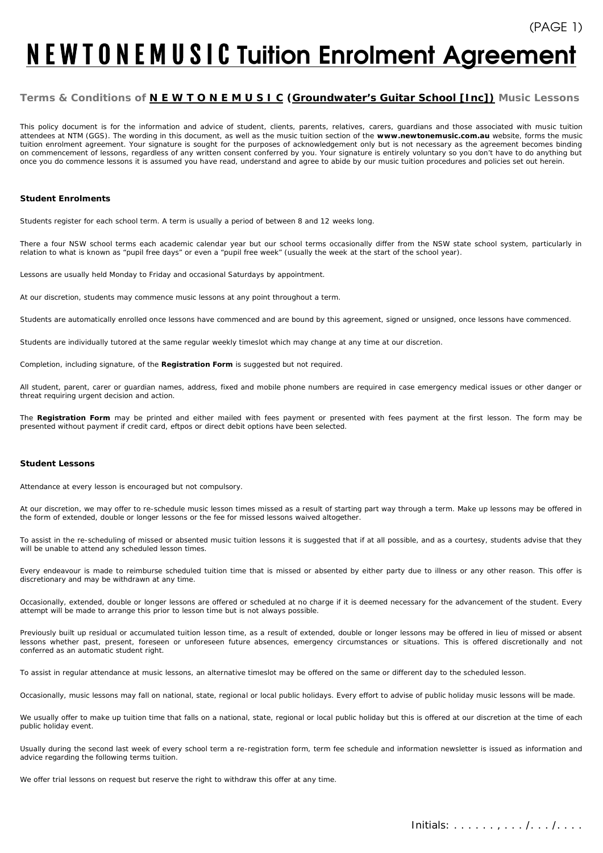# **N E W T O N E M U S I C Tuition Enrolment Agreement**

## **Terms & Conditions of** *N E W T O N E M U S IC* **(***Groundwater's Guitar School [Inc])* **Music Lessons**

This policy document is for the information and advice of student, clients, parents, relatives, carers, guardians and those associated with music tuition attendees at NTM (GGS). The wording in this document, as well as the music tuition section of the **www.newtonemusic.com.au** website, forms the music tuition enrolment agreement. Your signature is sought for the purposes of acknowledgement only but is not necessary as the agreement becomes binding on commencement of lessons, regardless of any written consent conferred by you. Your signature is entirely voluntary so you don't have to do anything but once you do commence lessons it is assumed you have read, understand and agree to abide by our music tuition procedures and policies set out herein.

#### **Student Enrolments**

Students register for each school term. A term is usually a period of between 8 and 12 weeks long.

There a four NSW school terms each academic calendar year but our school terms occasionally differ from the NSW state school system, particularly in relation to what is known as "pupil free days" or even a "pupil free week" (usually the week at the start of the school year).

Lessons are usually held Monday to Friday and occasional Saturdays by appointment.

At our discretion, students may commence music lessons at any point throughout a term.

Students are automatically enrolled once lessons have commenced and are bound by this agreement, signed or unsigned, once lessons have commenced.

Students are individually tutored at the same regular weekly timeslot which may change at any time at our discretion.

Completion, including signature, of the **Registration Form** is suggested but not required.

All student, parent, carer or guardian names, address, fixed and mobile phone numbers are required in case emergency medical issues or other danger or threat requiring urgent decision and action.

The **Registration Form** may be printed and either mailed with fees payment or presented with fees payment at the first lesson. The form may be presented without payment if credit card, eftpos or direct debit options have been selected.

#### **Student Lessons**

Attendance at every lesson is encouraged but not compulsory.

At our discretion, we may offer to re-schedule music lesson times missed as a result of starting part way through a term. Make up lessons may be offered in the form of extended, double or longer lessons or the fee for missed lessons waived altogether.

To assist in the re-scheduling of missed or absented music tuition lessons it is suggested that if at all possible, and as a courtesy, students advise that they will be unable to attend any scheduled lesson times.

Every endeavour is made to reimburse scheduled tuition time that is missed or absented by either party due to illness or any other reason. This offer is discretionary and may be withdrawn at any time.

Occasionally, extended, double or longer lessons are offered or scheduled at no charge if it is deemed necessary for the advancement of the student. Every attempt will be made to arrange this prior to lesson time but is not always possible.

Previously built up residual or accumulated tuition lesson time, as a result of extended, double or longer lessons may be offered in lieu of missed or absent lessons whether past, present, foreseen or unforeseen future absences, emergency circumstances or situations. This is offered discretionally and not conferred as an automatic student right.

To assist in regular attendance at music lessons, an alternative timeslot may be offered on the same or different day to the scheduled lesson.

Occasionally, music lessons may fall on national, state, regional or local public holidays. Every effort to advise of public holiday music lessons will be made.

We usually offer to make up tuition time that falls on a national, state, regional or local public holiday but this is offered at our discretion at the time of each public holiday event.

Usually during the second last week of every school term a re-registration form, term fee schedule and information newsletter is issued as information and advice regarding the following terms tuition.

We offer trial lessons on request but reserve the right to withdraw this offer at any time.